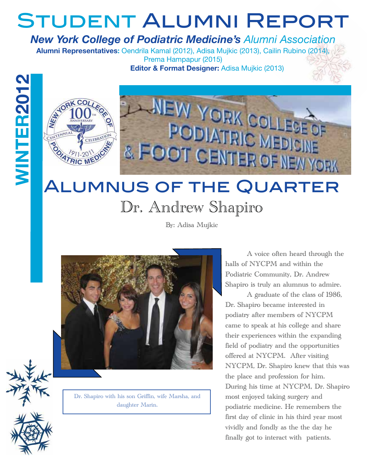## Student Alumni Report

#### *New York College of Podiatric Medicine's Alumni Association*

**Alumni Representatives:** Oendrila Kamal (2012), Adisa Mujkic (2013), Cailin Rubino (2014), Prema Hampapur (2015)

**Editor & Format Designer:** Adisa Mujkic (2013)



# Dr. Andrew Shapiro

By: Adisa Mujkic



Dr. Shapiro with his son Griffin, wife Marsha, and daughter Marin.

 A voice often heard through the halls of NYCPM and within the Podiatric Community, Dr. Andrew Shapiro is truly an alumnus to admire.

 A graduate of the class of 1986, Dr. Shapiro became interested in podiatry after members of NYCPM came to speak at his college and share their experiences within the expanding field of podiatry and the opportunities offered at NYCPM. After visiting NYCPM, Dr. Shapiro knew that this was the place and profession for him. During his time at NYCPM, Dr. Shapiro most enjoyed taking surgery and podiatric medicine. He remembers the first day of clinic in his third year most vividly and fondly as the the day he finally got to interact with patients.

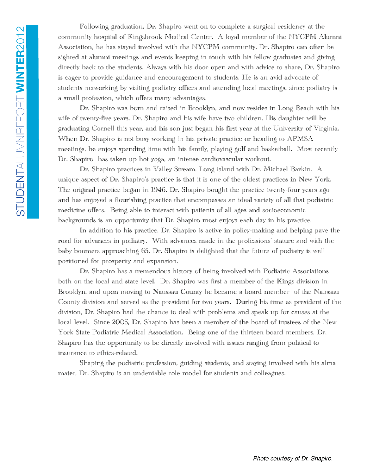Following graduation, Dr. Shapiro went on to complete a surgical residency at the community hospital of Kingsbrook Medical Center. A loyal member of the NYCPM Alumni Association, he has stayed involved with the NYCPM community. Dr. Shapiro can often be sighted at alumni meetings and events keeping in touch with his fellow graduates and giving directly back to the students. Always with his door open and with advice to share, Dr. Shapiro is eager to provide guidance and encouragement to students. He is an avid advocate of students networking by visiting podiatry offices and attending local meetings, since podiatry is a small profession, which offers many advantages.

 Dr. Shapiro was born and raised in Brooklyn, and now resides in Long Beach with his wife of twenty-five years. Dr. Shapiro and his wife have two children. His daughter will be graduating Cornell this year, and his son just began his first year at the University of Virginia. When Dr. Shapiro is not busy working in his private practice or heading to APMSA meetings, he enjoys spending time with his family, playing golf and basketball. Most recently Dr. Shapiro has taken up hot yoga, an intense cardiovascular workout.

 Dr. Shapiro practices in Valley Stream, Long island with Dr. Michael Barkin. A unique aspect of Dr. Shapiro's practice is that it is one of the oldest practices in New York. The original practice began in 1946. Dr. Shapiro bought the practice twenty-four years ago and has enjoyed a flourishing practice that encompasses an ideal variety of all that podiatric medicine offers. Being able to interact with patients of all ages and socioeconomic backgrounds is an opportunity that Dr. Shapiro most enjoys each day in his practice.

 In addition to his practice, Dr. Shapiro is active in policy-making and helping pave the road for advances in podiatry. With advances made in the professions' stature and with the baby boomers approaching 65, Dr. Shapiro is delighted that the future of podiatry is well positioned for prosperity and expansion.

 Dr. Shapiro has a tremendous history of being involved with Podiatric Associations both on the local and state level. Dr. Shapiro was first a member of the Kings division in Brooklyn, and upon moving to Naussau County he became a board member of the Naussau County division and served as the president for two years. During his time as president of the division, Dr. Shapiro had the chance to deal with problems and speak up for causes at the local level. Since 2005, Dr. Shapiro has been a member of the board of trustees of the New York State Podiatric Medical Association. Being one of the thirteen board members, Dr. Shapiro has the opportunity to be directly involved with issues ranging from political to insurance to ethics-related.

 Shaping the podiatric profession, guiding students, and staying involved with his alma mater, Dr. Shapiro is an undeniable role model for students and colleagues.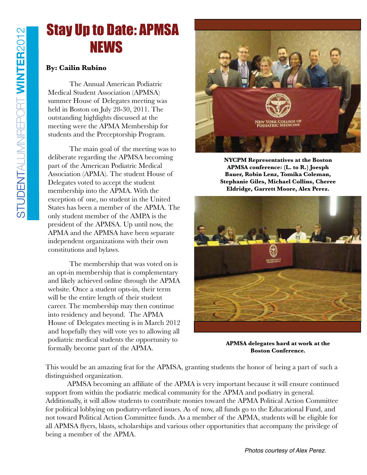### Stay Up to Date: APMSA NEWS

#### **By: Cailin Rubino**

 The Annual American Podiatric Medical Student Association (APMSA) summer House of Delegates meeting was held in Boston on July 28-30, 2011. The outstanding highlights discussed at the meeting were the APMA Membership for students and the Preceptorship Program.

 The main goal of the meeting was to deliberate regarding the APMSA becoming part of the American Podiatric Medical Association (APMA). The student House of Delegates voted to accept the student membership into the APMA. With the exception of one, no student in the United States has been a member of the APMA. The only student member of the AMPA is the president of the APMSA. Up until now, the APMA and the APMSA have been separate independent organizations with their own constitutions and bylaws.

 The membership that was voted on is an opt-in membership that is complementary and likely achieved online through the APMA website. Once a student opts-in, their term will be the entire length of their student career. The membership may then continue into residency and beyond. The APMA House of Delegates meeting is in March 2012 and hopefully they will vote yes to allowing all podiatric medical students the opportunity to formally become part of the APMA.



**NYCPM Representatives at the Boston APMSA conference: (L. to R.) Joesph Bauer, Robin Lenz, Tomika Coleman, Stephanie Giles, Michael Collins, Cheree Eldridge, Garrett Moore, Alex Perez.**



**APMSA delegates hard at work at the Boston Conference.** 

This would be an amazing feat for the APMSA, granting students the honor of being a part of such a distinguished organization.

 APMSA becoming an affiliate of the APMA is very important because it will ensure continued support from within the podiatric medical community for the APMA and podiatry in general. Additionally, it will allow students to contribute monies toward the APMA Political Action Committee for political lobbying on podiatry-related issues. As of now, all funds go to the Educational Fund, and not toward Political Action Committee funds. As a member of the APMA, students will be eligible for all APMSA flyers, blasts, scholarships and various other opportunities that accompany the privilege of being a member of the APMA.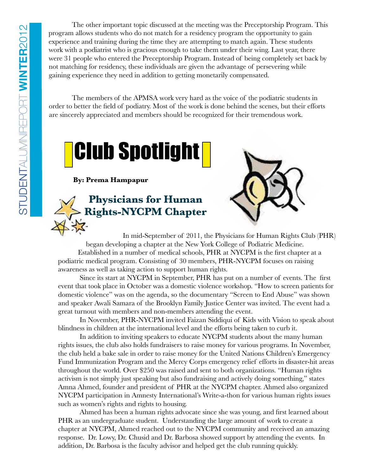The other important topic discussed at the meeting was the Preceptorship Program. This program allows students who do not match for a residency program the opportunity to gain experience and training during the time they are attempting to match again. These students work with a podiatrist who is gracious enough to take them under their wing. Last year, there were 31 people who entered the Preceptorship Program. Instead of being completely set back by not matching for residency, these individuals are given the advantage of persevering while gaining experience they need in addition to getting monetarily compensated.

 The members of the APMSA work very hard as the voice of the podiatric students in order to better the field of podiatry. Most of the work is done behind the scenes, but their efforts are sincerely appreciated and members should be recognized for their tremendous work.



**By: Prema Hampapur**

#### **Physicians for Human Rights-NYCPM Chapter**



 In mid-September of 2011, the Physicians for Human Rights Club (PHR) began developing a chapter at the New York College of Podiatric Medicine. Established in a number of medical schools, PHR at NYCPM is the first chapter at a podiatric medical program. Consisting of 30 members, PHR-NYCPM focuses on raising awareness as well as taking action to support human rights.

 Since its start at NYCPM in September, PHR has put on a number of events. The first event that took place in October was a domestic violence workshop. "How to screen patients for domestic violence" was on the agenda, so the documentary "Screen to End Abuse" was shown and speaker Awali Samara of the Brooklyn Family Justice Center was invited. The event had a great turnout with members and non-members attending the event.

 In November, PHR-NYCPM invited Faizan Siddiqui of Kids with Vision to speak about blindness in children at the international level and the efforts being taken to curb it.

 In addition to inviting speakers to educate NYCPM students about the many human rights issues, the club also holds fundraisers to raise money for various programs. In November, the club held a bake sale in order to raise money for the United Nations Children's Emergency Fund Immunization Program and the Mercy Corps emergency relief efforts in disaster-hit areas throughout the world. Over \$250 was raised and sent to both organizations. "Human rights activism is not simply just speaking but also fundraising and actively doing something," states Amna Ahmed, founder and president of PHR at the NYCPM chapter. Ahmed also organized NYCPM participation in Amnesty International's Write-a-thon for various human rights issues such as women's rights and rights to housing.

Ahmed has been a human rights advocate since she was young, and first learned about PHR as an undergraduate student. Understanding the large amount of work to create a chapter at NYCPM, Ahmed reached out to the NYCPM community and received an amazing response. Dr. Lowy, Dr. Chusid and Dr. Barbosa showed support by attending the events. In addition, Dr. Barbosa is the faculty advisor and helped get the club running quickly.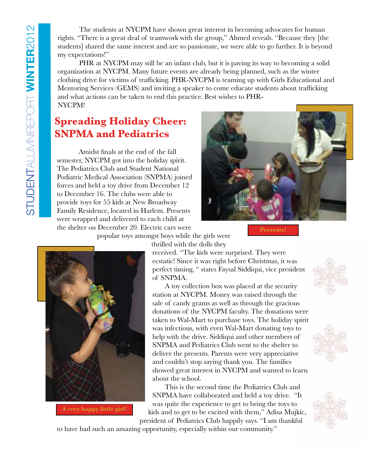The students at NYCPM have shown great interest in becoming advocates for human rights. "There is a great deal of teamwork with the group," Ahmed reveals. "Because they [the students] shared the same interest and are so passionate, we were able to go further. It is beyond my expectations!"

 PHR at NYCPM may still be an infant club, but it is paving its way to becoming a solid organization at NYCPM. Many future events are already being planned, such as the winter clothing drive for victims of trafficking. PHR-NYCPM is teaming up with Girls Educational and Mentoring Services (GEMS) and inviting a speaker to come educate students about trafficking and what actions can be taken to end this practice. Best wishes to PHR-NYCPM!

#### **Spreading Holiday Cheer: SNPMA and Pediatrics**

 Amidst finals at the end of the fall semester, NYCPM got into the holiday spirit. The Pediatrics Club and Student National Podiatric Medical Association (SNPMA) joined forces and held a toy drive from December 12 to December 16. The clubs were able to provide toys for 55 kids at New Broadway Family Residence, located in Harlem. Presents were wrapped and delivered to each child at the shelter on December 20. Electric cars were



**Presents!**

popular toys amongst boys while the girls were



thrilled with the dolls they

received. "The kids were surprised. They were ecstatic! Since it was right before Christmas, it was perfect timing, " states Faysal Siddiqui, vice president of SNPMA.

 A toy collection box was placed at the security station at NYCPM. Money was raised through the sale of candy grams as well as through the gracious donations of the NYCPM faculty. The donations were taken to Wal-Mart to purchase toys. The holiday spirit was infectious, with even Wal-Mart donating toys to help with the drive. Siddiqui and other members of SNPMA and Pediatrics Club went to the shelter to deliver the presents. Parents were very appreciative and couldn't stop saying thank you. The families showed great interest in NYCPM and wanted to learn about the school.

 This is the second time the Pediatrics Club and SNPMA have collaborated and held a toy drive. "It was quite the experience to get to bring the toys to kids and to get to be excited with them," Adisa Mujkic,









to have had such an amazing opportunity, especially within our community."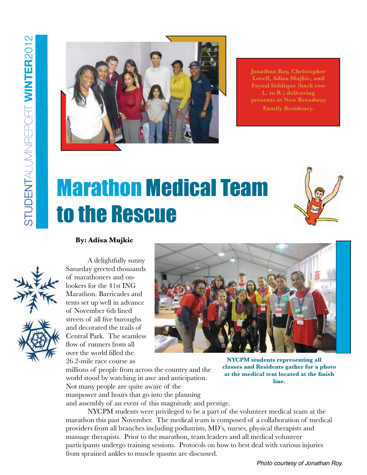

**Jonathan Roy, Christopher Lovell, Adisa Mujkic, and Faysal Siddique (back row L. to R.) delivering presents at New Broadway Family Residency.**

## Marathon Medical Team to the Rescue







A delightfully sunny Saturday greeted thousands of marathoners and onlookers for the 41st ING Marathon. Barricades and tents set up well in advance of November 6th lined streets of all five buroughs and decorated the trails of Central Park. The seamless flow of runners from all over the world filled the 26.2-mile race course as



**NYCPM students representing all classes and Residents gather for a photo at the medical tent located at the finish line.** 

millions of people from across the country and the world stood by watching in awe and anticipation. Not many people are quite aware of the manpower and hours that go into the planning and assembly of an event of this magnitude and prestige.

 NYCPM students were privileged to be a part of the volunteer medical team at the marathon this past November. The medical team is composed of a collaboration of medical providers from all branches including podiatrists, MD's, nurses, physical therapists and massage therapists. Prior to the marathon, team leaders and all medical volunteer participants undergo training sessions. Protocols on how to best deal with various injuries from sprained ankles to muscle spasms are discussed.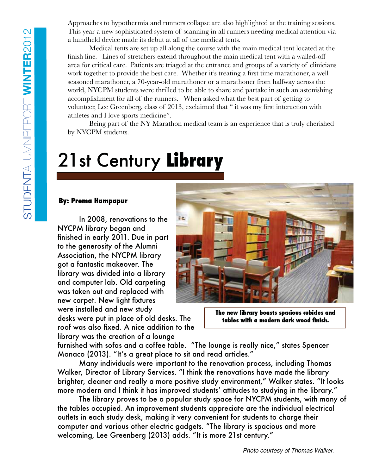Approaches to hypothermia and runners collapse are also highlighted at the training sessions. This year a new sophisticated system of scanning in all runners needing medical attention via a handheld device made its debut at all of the medical tents.

 Medical tents are set up all along the course with the main medical tent located at the finish line. Lines of stretchers extend throughout the main medical tent with a walled-off area for critical care. Patients are triaged at the entrance and groups of a variety of clinicians work together to provide the best care. Whether it's treating a first time marathoner, a well seasoned marathoner, a 70-year-old marathoner or a marathoner from halfway across the world, NYCPM students were thrilled to be able to share and partake in such an astonishing accomplishment for all of the runners. When asked what the best part of getting to volunteer, Lee Greenberg, class of 2013, exclaimed that " it was my first interaction with athletes and I love sports medicine".

 Being part of the NY Marathon medical team is an experience that is truly cherished by NYCPM students.

### 21st Century **Library**

#### **By: Prema Hampapur**

In 2008, renovations to the NYCPM library began and finished in early 2011. Due in part to the generosity of the Alumni Association, the NYCPM library got a fantastic makeover. The library was divided into a library and computer lab. Old carpeting was taken out and replaced with new carpet. New light fixtures were installed and new study desks were put in place of old desks. The roof was also fixed. A nice addition to the library was the creation of a lounge



**The new library boasts spacious cubicles and tables with a modern dark wood finish.** 

furnished with sofas and a coffee table. "The lounge is really nice," states Spencer Monaco (2013). "It's a great place to sit and read articles."

Many individuals were important to the renovation process, including Thomas Walker, Director of Library Services. "I think the renovations have made the library brighter, cleaner and really a more positive study environment," Walker states. "It looks more modern and I think it has improved students' attitudes to studying in the library."

The library proves to be a popular study space for NYCPM students, with many of the tables occupied. An improvement students appreciate are the individual electrical outlets in each study desk, making it very convenient for students to charge their computer and various other electric gadgets. "The library is spacious and more welcoming, Lee Greenberg (2013) adds. "It is more 21st century."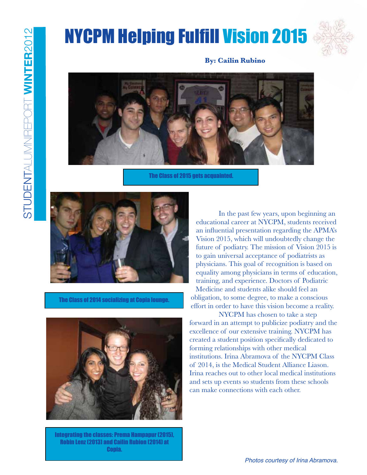### NYCPM Helping Fulfill Vision 2015



#### **By: Cailin Rubino**



The Class of 2015 gets acquainted.



The Class of 2014 socializing at Copia lounge.



Integrating the classes: Prema Hampapur (2015), Robin Lenz (2013) and Cailin Rubion (2014) at Copia.

In the past few years, upon beginning an educational career at NYCPM, students received an influential presentation regarding the APMA's Vision 2015, which will undoubtedly change the future of podiatry. The mission of Vision 2015 is to gain universal acceptance of podiatrists as physicians. This goal of recognition is based on equality among physicians in terms of education, training, and experience. Doctors of Podiatric Medicine and students alike should feel an obligation, to some degree, to make a conscious effort in order to have this vision become a reality.

 NYCPM has chosen to take a step forward in an attempt to publicize podiatry and the excellence of our extensive training. NYCPM has created a student position specifically dedicated to forming relationships with other medical institutions. Irina Abramova of the NYCPM Class of 2014, is the Medical Student Alliance Liason. Irina reaches out to other local medical institutions and sets up events so students from these schools can make connections with each other.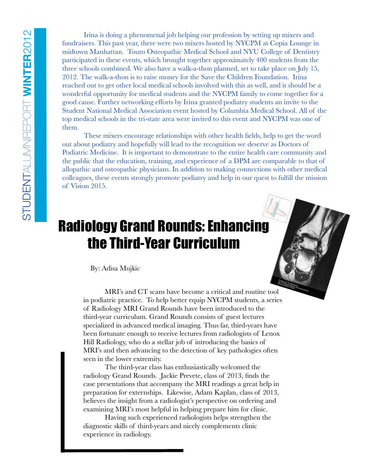Irina is doing a phenomenal job helping our profession by setting up mixers and fundraisers. This past year, there were two mixers hosted by NYCPM at Copia Lounge in midtown Manhattan. Touro Osteopathic Medical School and NYU College of Dentistry participated in these events, which brought together approximately 400 students from the three schools combined. We also have a walk-a-thon planned, set to take place on July 15, 2012. The walk-a-thon is to raise money for the Save the Children Foundation. Irina reached out to get other local medical schools involved with this as well, and it should be a wonderful opportunity for medical students and the NYCPM family to come together for a good cause. Further networking efforts by Irina granted podiatry students an invite to the Student National Medical Association event hosted by Columbia Medical School. All of the top medical schools in the tri-state area were invited to this event and NYCPM was one of them.

 These mixers encourage relationships with other health fields, help to get the word out about podiatry and hopefully will lead to the recognition we deserve as Doctors of Podiatric Medicine. It is important to demonstrate to the entire health care community and the public that the education, training, and experience of a DPM are comparable to that of allopathic and osteopathic physicians. In addition to making connections with other medical colleagues, these events strongly promote podiatry and help in our quest to fulfill the mission of Vision 2015.

### Radiology Grand Rounds: Enhancing the Third-Year Curriculum

By: Adisa Mujkic

 MRI's and CT scans have become a critical and routine tool in podiatric practice. To help better equip NYCPM students, a series of Radiology MRI Grand Rounds have been introduced to the third-year curriculum. Grand Rounds consists of guest lectures specialized in advanced medical imaging. Thus far, third-years have been fortunate enough to receive lectures from radiologists of Lenox Hill Radiology, who do a stellar job of introducing the basics of MRI's and then advancing to the detection of key pathologies often seen in the lower extremity.

 The third-year class has enthusiastically welcomed the radiology Grand Rounds. Jackie Prevete, class of 2013, finds the case presentations that accompany the MRI readings a great help in preparation for externships. Likewise, Adam Kaplan, class of 2013, believes the insight from a radiologist's perspective on ordering and examining MRI's most helpful in helping prepare him for clinic.

 Having such experienced radiologists helps strengthen the diagnostic skills of third-years and nicely complements clinic experience in radiology.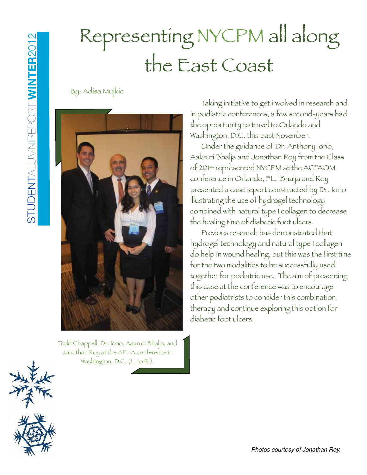## Representing NYCPM all along the East Coast

By: Adisa Mujkic



Todd Chappell, Dr. Iorio, Aakruti Bhalja, and Jonathan Roy at the APHA conference in Washington, D.C. (L. to R.).

Taking initiative to get involved in research and in podiatric conferences, a few second-years had the opportunity to travel to Orlando and Washington, D.C. this past November.

 Under the guidance of Dr. Anthony Iorio, Aakruti Bhalja and Jonathan Roy from the Class of 2014 represented NYCPM at the ACFAOM conference in Orlando, FL. Bhalja and Roy presented a case report constructed by Dr. Iorio illustrating the use of hydrogel technology combined with natural type I collagen to decrease the healing time of diabetic foot ulcers.

 Previous research has demonstrated that hydrogel technology and natural type I collagen do help in wound healing, but this was the first time for the two modalities to be successfully used together for podiatric use. The aim of presenting this case at the conference was to encourage other podiatrists to consider this combination therapy and continue exploring this option for diabetic foot ulcers.



Photos courtesy of Jonathan Roy.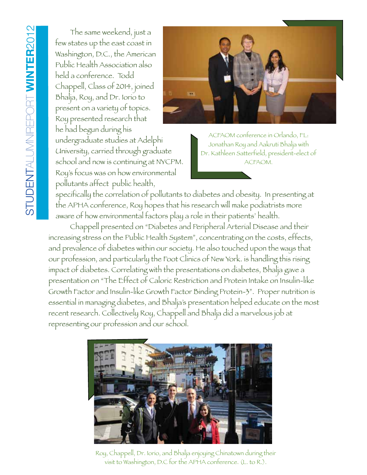The same weekend, just a few states up the east coast in Washington, D.C., the American Public Health Association also held a conference. Todd Chappell, Class of 2014, joined Bhalja, Roy, and Dr. Iorio to present on a variety of topics. Roy presented research that he had begun during his undergraduate studies at Adelphi University, carried through graduate school and now is continuing at NYCPM. Roy's focus was on how environmental pollutants affect public health,



ACFAOM conference in Orlando, FL: Jonathan Roy and Aakruti Bhalja with Dr. Kathleen Satterfield, president-elect of ACFAOM.

specifically the correlation of pollutants to diabetes and obesity. In presenting at the APHA conference, Roy hopes that his research will make podiatrists more aware of how environmental factors play a role in their patients' health.

 Chappell presented on "Diabetes and Peripheral Arterial Disease and their increasing stress on the Public Health System", concentrating on the costs, effects, and prevalence of diabetes within our society. He also touched upon the ways that our profession, and particularly the Foot Clinics of New York. is handling this rising impact of diabetes. Correlating with the presentations on diabetes, Bhalja gave a presentation on "The Effect of Caloric Restriction and Protein Intake on Insulin-like Growth Factor and Insulin-like Growth Factor Binding Protein-3". Proper nutrition is essential in managing diabetes, and Bhalja's presentation helped educate on the most recent research. Collectively Roy, Chappell and Bhalja did a marvelous job at representing our profession and our school.



Roy, Chappell, Dr. Iorio, and Bhalja enjoying Chinatown during their visit to Washington, D.C for the APHA conference. (L. to R.).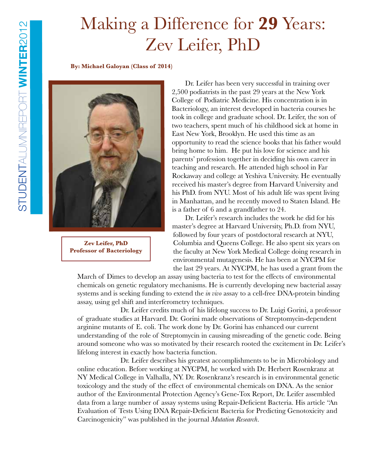### Making a Difference for **29** Years: Zev Leifer, PhD

**By: Michael Galoyan (Class of 2014)**



**Zev Leifer, PhD Professor of Bacteriology**

 Dr. Leifer has been very successful in training over 2,500 podiatrists in the past 29 years at the New York College of Podiatric Medicine. His concentration is in Bacteriology, an interest developed in bacteria courses he took in college and graduate school. Dr. Leifer, the son of two teachers, spent much of his childhood sick at home in East New York, Brooklyn. He used this time as an opportunity to read the science books that his father would bring home to him. He put his love for science and his parents' profession together in deciding his own career in teaching and research. He attended high school in Far Rockaway and college at Yeshiva University. He eventually received his master's degree from Harvard University and his PhD. from NYU. Most of his adult life was spent living in Manhattan, and he recently moved to Staten Island. He is a father of 6 and a grandfather to 24.

 Dr. Leifer's research includes the work he did for his master's degree at Harvard University, Ph.D. from NYU, followed by four years of postdoctoral research at NYU, Columbia and Queens College. He also spent six years on the faculty at New York Medical College doing research in environmental mutagenesis. He has been at NYCPM for the last 29 years. At NYCPM, he has used a grant from the

March of Dimes to develop an assay using bacteria to test for the effects of environmental chemicals on genetic regulatory mechanisms. He is currently developing new bacterial assay systems and is seeking funding to extend the *in vivo* assay to a cell-free DNA-protein binding assay, using gel shift and interferometry techniques.

 Dr. Leifer credits much of his lifelong success to Dr. Luigi Gorini, a professor of graduate studies at Harvard. Dr. Gorini made observations of Streptomycin-dependent arginine mutants of E. coli. The work done by Dr. Gorini has enhanced our current understanding of the role of Streptomycin in causing misreading of the genetic code. Being around someone who was so motivated by their research rooted the excitement in Dr. Leifer's lifelong interest in exactly how bacteria function.

 Dr. Leifer describes his greatest accomplishments to be in Microbiology and online education. Before working at NYCPM, he worked with Dr. Herbert Rosenkranz at NY Medical College in Valhalla, NY. Dr. Rosenkranz's research is in environmental genetic toxicology and the study of the effect of environmental chemicals on DNA. As the senior author of the Environmental Protection Agency's Gene-Tox Report, Dr. Leifer assembled data from a large number of assay systems using Repair-Deficient Bacteria. His article "An Evaluation of Tests Using DNA Repair-Deficient Bacteria for Predicting Genotoxicity and Carcinogenicity" was published in the journal *Mutation Research*.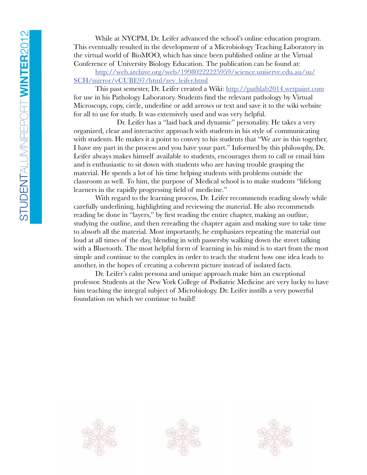While at NYCPM, Dr. Leifer advanced the school's online education program. This eventually resulted in the development of a Microbiology Teaching Laboratory in the virtual world of BioMOO, which has since been published online at the Virtual Conference of University Biology Education. The publication can be found at:

http://web.archive.org/web/19980222225959/science.uniserve.edu.au/su/ SCH/mirror/vCUBE97/html/zev\_leifer.html

This past semester, Dr. Leifer created a Wiki: http://pathlab2014.wetpaint.com for use in his Pathology Laboratory. Students find the relevant pathology by Virtual Microscopy, copy, circle, underline or add arrows or text and save it to the wiki website for all to use for study. It was extensively used and was very helpful.

 Dr. Leifer has a "laid back and dynamic" personality. He takes a very organized, clear and interactive approach with students in his style of communicating with students. He makes it a point to convey to his students that "We are in this together, I have my part in the process and you have your part." Informed by this philosophy, Dr. Leifer always makes himself available to students, encourages them to call or email him and is enthusiastic to sit down with students who are having trouble grasping the material. He spends a lot of his time helping students with problems outside the classroom as well. To him, the purpose of Medical school is to make students "lifelong learners in the rapidly progressing field of medicine."

With regard to the learning process, Dr. Leifer recommends reading slowly while carefully underlining, highlighting and reviewing the material. He also recommends reading be done in "layers," by first reading the entire chapter, making an outline, studying the outline, and then rereading the chapter again and making sure to take time to absorb all the material. Most importantly, he emphasizes repeating the material out loud at all times of the day, blending in with passersby walking down the street talking with a Bluetooth. The most helpful form of learning in his mind is to start from the most simple and continue to the complex in order to teach the student how one idea leads to another, in the hopes of creating a coherent picture instead of isolated facts.

Dr. Leifer's calm persona and unique approach make him an exceptional professor. Students at the New York College of Podiatric Medicine are very lucky to have him teaching the integral subject of Microbiology. Dr. Leifer instills a very powerful foundation on which we continue to build!